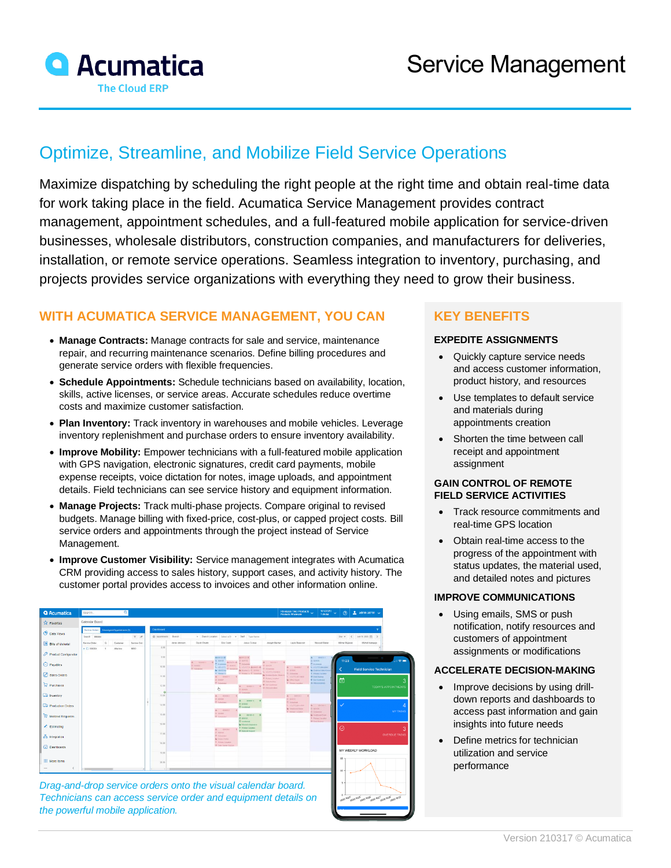

# Optimize, Streamline, and Mobilize Field Service Operations

Maximize dispatching by scheduling the right people at the right time and obtain real-time data for work taking place in the field. Acumatica Service Management provides contract management, appointment schedules, and a full-featured mobile application for service-driven businesses, wholesale distributors, construction companies, and manufacturers for deliveries, installation, or remote service operations. Seamless integration to inventory, purchasing, and projects provides service organizations with everything they need to grow their business.

### **WITH ACUMATICA SERVICE MANAGEMENT, YOU CAN**

- **Manage Contracts:** Manage contracts for sale and service, maintenance repair, and recurring maintenance scenarios. Define billing procedures and generate service orders with flexible frequencies.
- **Schedule Appointments:** Schedule technicians based on availability, location, skills, active licenses, or service areas. Accurate schedules reduce overtime costs and maximize customer satisfaction.
- **Plan Inventory:** Track inventory in warehouses and mobile vehicles. Leverage inventory replenishment and purchase orders to ensure inventory availability.
- **Improve Mobility:** Empower technicians with a full-featured mobile application with GPS navigation, electronic signatures, credit card payments, mobile expense receipts, voice dictation for notes, image uploads, and appointment details. Field technicians can see service history and equipment information.
- **Manage Projects:** Track multi-phase projects. Compare original to revised budgets. Manage billing with fixed-price, cost-plus, or capped project costs. Bill service orders and appointments through the project instead of Service Management.
- **Improve Customer Visibility:** Service management integrates with Acumatica CRM providing access to sales history, support cases, and activity history. The customer portal provides access to invoices and other information online.



*Drag-and-drop service orders onto the visual calendar board. Technicians can access service order and equipment details on the powerful mobile application.*

## **KEY BENEFITS**

#### **EXPEDITE ASSIGNMENTS**

- Quickly capture service needs and access customer information, product history, and resources
- Use templates to default service and materials during appointments creation
- Shorten the time between call receipt and appointment assignment

#### **GAIN CONTROL OF REMOTE FIELD SERVICE ACTIVITIES**

- Track resource commitments and real-time GPS location
- Obtain real-time access to the progress of the appointment with status updates, the material used, and detailed notes and pictures

#### **IMPROVE COMMUNICATIONS**

• Using emails, SMS or push notification, notify resources and customers of appointment assignments or modifications

#### **ACCELERATE DECISION-MAKING**

- Improve decisions by using drilldown reports and dashboards to access past information and gain insights into future needs
- Define metrics for technician utilization and service performance